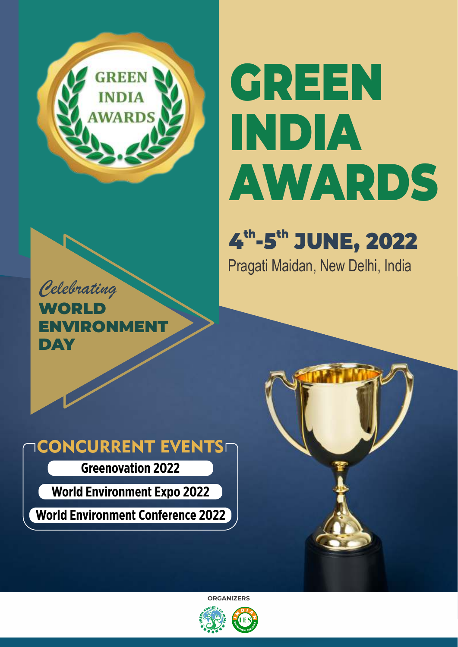

# GREEN INDIA AWARDS

# 4<sup>th</sup>-5<sup>th</sup> JUNE, 2022

Pragati Maidan, New Delhi, India

*Celebrating* **WOPLD** ENVIRONME DAY

# **ICONCURRENT EVENTS**

**Greenovation 2022**

**World Environment Expo 2022**

**World Environment Conference 2022**



**ORGANIZERS**

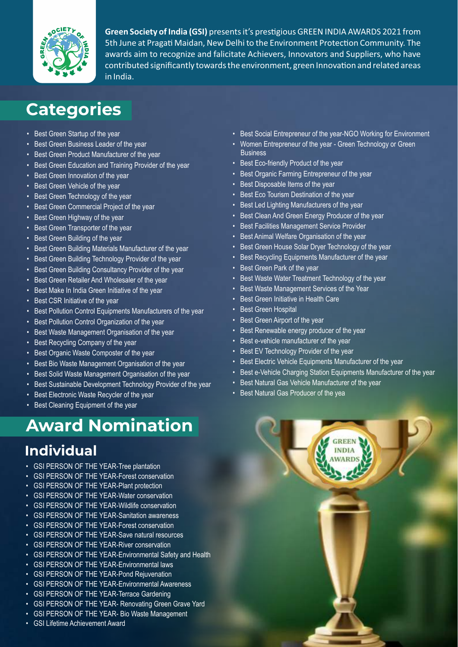

**Green Society of India (GSI)** presents it's prestigious GREEN INDIA AWARDS 2021 from 5th June at Pragati Maidan, New Delhi to the Environment Protection Community. The awards aim to recognize and falicitate Achievers, Innovators and Suppliers, who have contributed significantly towards the environment, green Innovation and related areas in India.

# **Categories**

- Best Green Startup of the year
- Best Green Business Leader of the year
- Best Green Product Manufacturer of the year
- Best Green Education and Training Provider of the year
- Best Green Innovation of the year
- Best Green Vehicle of the year
- Best Green Technology of the year
- Best Green Commercial Project of the year
- Best Green Highway of the year
- Best Green Transporter of the year
- Best Green Building of the year
- Best Green Building Materials Manufacturer of the year
- Best Green Building Technology Provider of the year
- Best Green Building Consultancy Provider of the year
- Best Green Retailer And Wholesaler of the year
- Best Make In India Green Initiative of the year
- Best CSR Initiative of the year
- Best Pollution Control Equipments Manufacturers of the year
- Best Pollution Control Organization of the year
- Best Waste Management Organisation of the year
- Best Recycling Company of the year
- Best Organic Waste Composter of the year
- Best Bio Waste Management Organisation of the year
- Best Solid Waste Management Organisation of the year
- Best Sustainable Development Technology Provider of the year
- Best Electronic Waste Recycler of the year
- Best Cleaning Equipment of the year

# **Award Nomination**

## **Individual**

- GSI PERSON OF THE YEAR-Tree plantation
- GSI PERSON OF THE YEAR-Forest conservation
- GSI PERSON OF THE YEAR-Plant protection
- GSI PERSON OF THE YEAR-Water conservation
- GSI PERSON OF THE YEAR-Wildlife conservation
- GSI PERSON OF THE YEAR-Sanitation awareness
- GSI PERSON OF THE YEAR-Forest conservation
- GSI PERSON OF THE YEAR-Save natural resources
- GSI PERSON OF THE YEAR-River conservation
- GSI PERSON OF THE YEAR-Environmental Safety and Health
- GSI PERSON OF THE YEAR-Environmental laws
- GSI PERSON OF THE YEAR-Pond Rejuvenation
- GSI PERSON OF THE YEAR-Environmental Awareness
- GSI PERSON OF THE YEAR-Terrace Gardening
- GSI PERSON OF THE YEAR- Renovating Green Grave Yard
- GSI PERSON OF THE YEAR- Bio Waste Management
- GSI Lifetime Achievement Award
- Best Social Entrepreneur of the year-NGO Working for Environment
- Women Entrepreneur of the year Green Technology or Green **Business**
- Best Eco-friendly Product of the year
- Best Organic Farming Entrepreneur of the year
- Best Disposable Items of the year
- Best Eco Tourism Destination of the year
- Best Led Lighting Manufacturers of the year
- Best Clean And Green Energy Producer of the year
- Best Facilities Management Service Provider
- Best Animal Welfare Organisation of the year
- Best Green House Solar Dryer Technology of the year
- Best Recycling Equipments Manufacturer of the year
- Best Green Park of the year
- Best Waste Water Treatment Technology of the year
- Best Waste Management Services of the Year
- Best Green Initiative in Health Care
- Best Green Hospital
- Best Green Airport of the year
- Best Renewable energy producer of the year
- Best e-vehicle manufacturer of the year
- Best EV Technology Provider of the year
- Best Electric Vehicle Equipments Manufacturer of the year
- Best e-Vehicle Charging Station Equipments Manufacturer of the year
- Best Natural Gas Vehicle Manufacturer of the year
- Best Natural Gas Producer of the yea

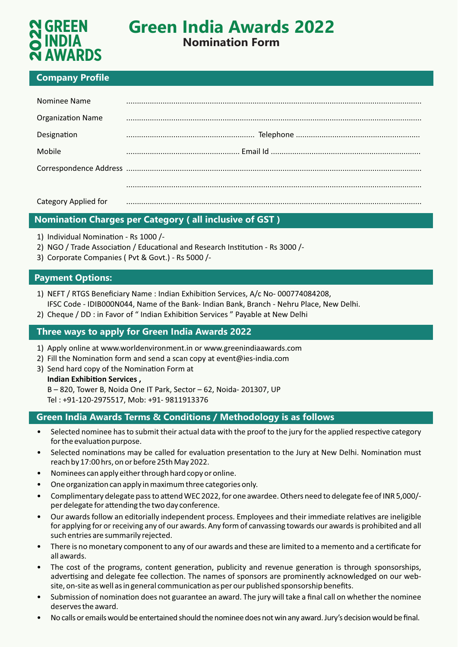

# **Green India Awards 2022**

### **Nomination Form**

### **Company Profile**

| <b>N GREEN<br/>O INDIA</b><br><b>N AWARDS</b>                                                                                                                                                                                                                     | <b>Green India Awards 2022</b><br><b>Nomination Form</b> |  |
|-------------------------------------------------------------------------------------------------------------------------------------------------------------------------------------------------------------------------------------------------------------------|----------------------------------------------------------|--|
| <b>Company Profile</b>                                                                                                                                                                                                                                            |                                                          |  |
| Nominee Name                                                                                                                                                                                                                                                      |                                                          |  |
| <b>Organization Name</b>                                                                                                                                                                                                                                          |                                                          |  |
| Designation                                                                                                                                                                                                                                                       |                                                          |  |
| Mobile                                                                                                                                                                                                                                                            |                                                          |  |
|                                                                                                                                                                                                                                                                   |                                                          |  |
|                                                                                                                                                                                                                                                                   |                                                          |  |
| <b>Category Applied for</b>                                                                                                                                                                                                                                       |                                                          |  |
| <b>Nomination Charges per Category (all inclusive of GST)</b>                                                                                                                                                                                                     |                                                          |  |
| 1) Individual Nomination - Rs 1000 /-<br>2) NGO / Trade Association / Educational and Research Institution - Rs 3000 /-<br>3) Corporate Companies (Pvt & Govt.) - Rs 5000 /-                                                                                      |                                                          |  |
| <b>Payment Options:</b>                                                                                                                                                                                                                                           |                                                          |  |
| 1) NEFT / RTGS Beneficiary Name: Indian Exhibition Services, A/c No-000774084208,<br>IFSC Code - IDIB000N044, Name of the Bank- Indian Bank, Branch - Nehru Place, New Delhi.<br>2) Cheque / DD : in Favor of " Indian Exhibition Services " Payable at New Delhi |                                                          |  |
| Three ways to apply for Green India Awards 2022                                                                                                                                                                                                                   |                                                          |  |

### **Nomination Charges per Category ( all inclusive of GST )**

- 1) Individual Nomination Rs 1000 /-
- 2) NGO / Trade Association / Educational and Research Institution Rs 3000 /-
- 3) Corporate Companies ( Pvt & Govt.) Rs 5000 /-

### **Payment Options:**

- 1) NEFT / RTGS Beneficiary Name : Indian Exhibition Services, A/c No-000774084208. IFSC Code - IDIB000N044, Name of the Bank- Indian Bank, Branch - Nehru Place, New Delhi.
- 2) Cheque / DD : in Favor of " Indian Exhibition Services " Payable at New Delhi

- 1) Apply online at www.worldenvironment.in or www.greenindiaawards.com
- 2) Fill the Nomination form and send a scan copy at event@ies-india.com
- 3) Send hard copy of the Nomination Form at

**Indian Exhibition Services,** 

B – 820, Tower B, Noida One IT Park, Sector – 62, Noida- 201307, UP Tel : +91-120-2975517, Mob: +91- 9811913376

### **Green India Awards Terms & Conditions / Methodology is as follows**

- Selected nominee has to submit their actual data with the proof to the jury for the applied respective category for the evaluation purpose.
- Selected nominations may be called for evaluation presentation to the Jury at New Delhi. Nomination must reach by 17:00 hrs, on or before 25th May 2022.
- Nominees can apply either through hard copy or online.
- One organization can apply in maximum three categories only.
- Complimentary delegate pass to attend WEC 2022, for one awardee. Others need to delegate fee of INR 5,000/per delegate for attending the two day conference.
- Our awards follow an editorially independent process. Employees and their immediate relatives are ineligible for applying for or receiving any of our awards. Any form of canvassing towards our awards is prohibited and all such entries are summarily rejected.
- There is no monetary component to any of our awards and these are limited to a memento and a certificate for all awards.
- The cost of the programs, content generation, publicity and revenue generation is through sponsorships, advertising and delegate fee collection. The names of sponsors are prominently acknowledged on our website, on-site as well as in general communication as per our published sponsorship benefits.
- Submission of nomination does not guarantee an award. The jury will take a final call on whether the nominee deserves the award.
- No calls or emails would be entertained should the nominee does not win any award. Jury's decision would be final.